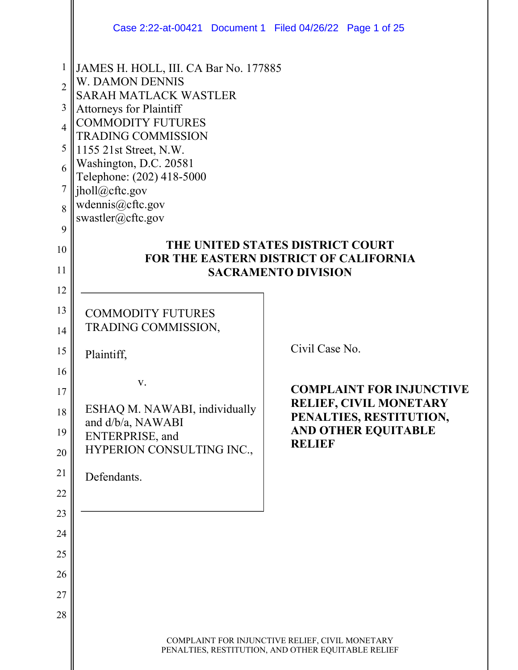|                | Case 2:22-at-00421 Document 1 Filed 04/26/22 Page 1 of 25      |                                                                                                       |  |
|----------------|----------------------------------------------------------------|-------------------------------------------------------------------------------------------------------|--|
| 1              | JAMES H. HOLL, III. CA Bar No. 177885                          |                                                                                                       |  |
| $\overline{2}$ | <b>W. DAMON DENNIS</b><br><b>SARAH MATLACK WASTLER</b>         |                                                                                                       |  |
| 3              | <b>Attorneys for Plaintiff</b>                                 |                                                                                                       |  |
| 4              | <b>COMMODITY FUTURES</b>                                       |                                                                                                       |  |
| 5              | <b>TRADING COMMISSION</b><br>1155 21st Street, N.W.            |                                                                                                       |  |
| 6              | Washington, D.C. 20581                                         |                                                                                                       |  |
| 7              | Telephone: (202) 418-5000                                      |                                                                                                       |  |
|                | jholl@cftc.gov<br>wdennis@cftc.gov                             |                                                                                                       |  |
| 8              | swastler@cftc.gov                                              |                                                                                                       |  |
| 9              |                                                                | THE UNITED STATES DISTRICT COURT                                                                      |  |
| 10             |                                                                | <b>FOR THE EASTERN DISTRICT OF CALIFORNIA</b>                                                         |  |
| 11             |                                                                | <b>SACRAMENTO DIVISION</b>                                                                            |  |
| 12             |                                                                |                                                                                                       |  |
| 13             | <b>COMMODITY FUTURES</b>                                       |                                                                                                       |  |
| 14             | TRADING COMMISSION,                                            |                                                                                                       |  |
| 15             | Plaintiff,                                                     | Civil Case No.                                                                                        |  |
| 16             |                                                                |                                                                                                       |  |
| 17             | v.                                                             | <b>COMPLAINT FOR INJUNCTIVE</b>                                                                       |  |
| 18             | <b>RELIEF, CIVIL MONETARY</b><br>ESHAQ M. NAWABI, individually |                                                                                                       |  |
| 19             | and d/b/a, NAWABI                                              | PENALTIES, RESTITUTION,<br><b>AND OTHER EQUITABLE</b>                                                 |  |
| 20             | ENTERPRISE, and<br>HYPERION CONSULTING INC.,                   | <b>RELIEF</b>                                                                                         |  |
|                |                                                                |                                                                                                       |  |
| 21<br>22       | Defendants.                                                    |                                                                                                       |  |
| 23             |                                                                |                                                                                                       |  |
| 24             |                                                                |                                                                                                       |  |
| 25             |                                                                |                                                                                                       |  |
|                |                                                                |                                                                                                       |  |
| 26             |                                                                |                                                                                                       |  |
| 27             |                                                                |                                                                                                       |  |
| 28             |                                                                |                                                                                                       |  |
|                |                                                                | COMPLAINT FOR INJUNCTIVE RELIEF, CIVIL MONETARY<br>PENALTIES, RESTITUTION, AND OTHER EQUITABLE RELIEF |  |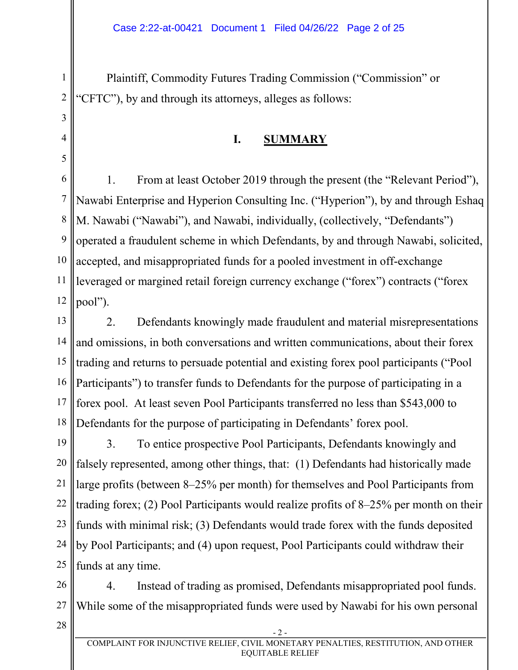Plaintiff, Commodity Futures Trading Commission ("Commission" or "CFTC"), by and through its attorneys, alleges as follows:

## **I. SUMMARY**

6 7 8 9 10 11 12 1. From at least October 2019 through the present (the "Relevant Period"), Nawabi Enterprise and Hyperion Consulting Inc. ("Hyperion"), by and through Eshaq M. Nawabi ("Nawabi"), and Nawabi, individually, (collectively, "Defendants") operated a fraudulent scheme in which Defendants, by and through Nawabi, solicited, accepted, and misappropriated funds for a pooled investment in off-exchange leveraged or margined retail foreign currency exchange ("forex") contracts ("forex pool").

13 14 15 16 17 18 2. Defendants knowingly made fraudulent and material misrepresentations and omissions, in both conversations and written communications, about their forex trading and returns to persuade potential and existing forex pool participants ("Pool Participants") to transfer funds to Defendants for the purpose of participating in a forex pool. At least seven Pool Participants transferred no less than \$543,000 to Defendants for the purpose of participating in Defendants' forex pool.

19 20 21 22 23 24 25 3. To entice prospective Pool Participants, Defendants knowingly and falsely represented, among other things, that: (1) Defendants had historically made large profits (between 8–25% per month) for themselves and Pool Participants from trading forex; (2) Pool Participants would realize profits of 8–25% per month on their funds with minimal risk; (3) Defendants would trade forex with the funds deposited by Pool Participants; and (4) upon request, Pool Participants could withdraw their funds at any time.

26 27 4. Instead of trading as promised, Defendants misappropriated pool funds. While some of the misappropriated funds were used by Nawabi for his own personal

28

1

2

3

4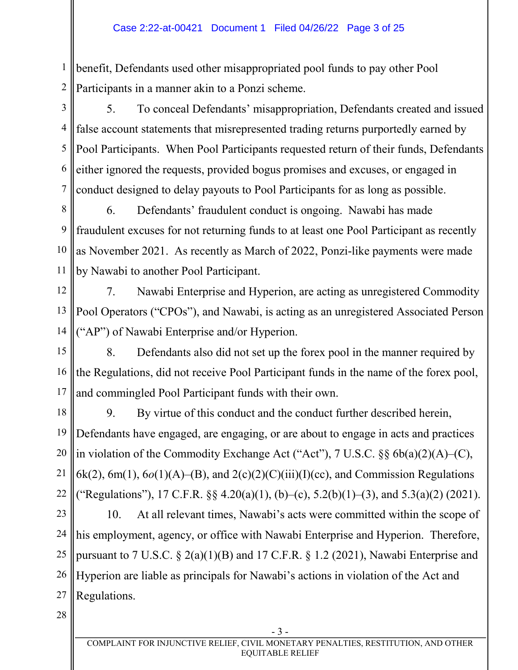1 2 benefit, Defendants used other misappropriated pool funds to pay other Pool Participants in a manner akin to a Ponzi scheme.

3 4 5 6 7 5. To conceal Defendants' misappropriation, Defendants created and issued false account statements that misrepresented trading returns purportedly earned by Pool Participants. When Pool Participants requested return of their funds, Defendants either ignored the requests, provided bogus promises and excuses, or engaged in conduct designed to delay payouts to Pool Participants for as long as possible.

8 9 10 11 6. Defendants' fraudulent conduct is ongoing. Nawabi has made fraudulent excuses for not returning funds to at least one Pool Participant as recently as November 2021. As recently as March of 2022, Ponzi-like payments were made by Nawabi to another Pool Participant.

12 13 14 7. Nawabi Enterprise and Hyperion, are acting as unregistered Commodity Pool Operators ("CPOs"), and Nawabi, is acting as an unregistered Associated Person ("AP") of Nawabi Enterprise and/or Hyperion.

15 16 17 8. Defendants also did not set up the forex pool in the manner required by the Regulations, did not receive Pool Participant funds in the name of the forex pool, and commingled Pool Participant funds with their own.

18 19 20 21 22 9. By virtue of this conduct and the conduct further described herein, Defendants have engaged, are engaging, or are about to engage in acts and practices in violation of the Commodity Exchange Act ("Act"), 7 U.S.C. §§ 6b(a)(2)(A)–(C),  $6k(2)$ ,  $6m(1)$ ,  $6o(1)(A)$ – $(B)$ , and  $2(c)(2)(C)(iii)(I)(cc)$ , and Commission Regulations ("Regulations"), 17 C.F.R.  $\S$ , 4.20(a)(1), (b)–(c), 5.2(b)(1)–(3), and 5.3(a)(2) (2021).

23 24 25 26 27 10. At all relevant times, Nawabi's acts were committed within the scope of his employment, agency, or office with Nawabi Enterprise and Hyperion. Therefore, pursuant to 7 U.S.C. § 2(a)(1)(B) and 17 C.F.R. § 1.2 (2021), Nawabi Enterprise and Hyperion are liable as principals for Nawabi's actions in violation of the Act and Regulations.

28

- 3 -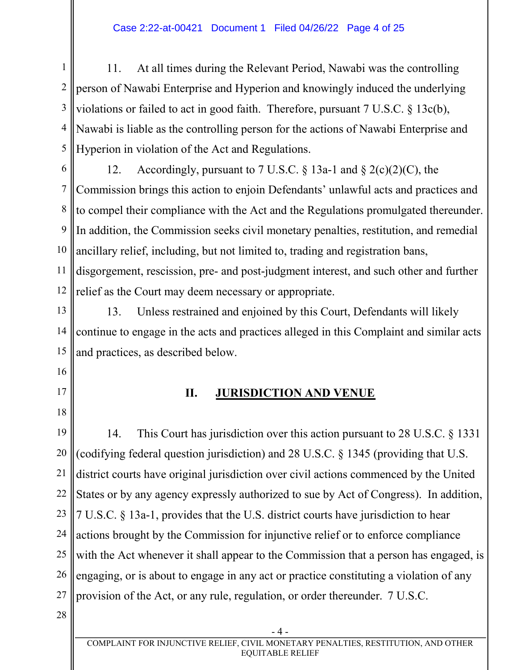#### Case 2:22-at-00421 Document 1 Filed 04/26/22 Page 4 of 25

1 2 3 4 5 11. At all times during the Relevant Period, Nawabi was the controlling person of Nawabi Enterprise and Hyperion and knowingly induced the underlying violations or failed to act in good faith. Therefore, pursuant 7 U.S.C. § 13c(b), Nawabi is liable as the controlling person for the actions of Nawabi Enterprise and Hyperion in violation of the Act and Regulations.

6 7 8 9 10 11 12 12. Accordingly, pursuant to 7 U.S.C.  $\S$  13a-1 and  $\S$  2(c)(2)(C), the Commission brings this action to enjoin Defendants' unlawful acts and practices and to compel their compliance with the Act and the Regulations promulgated thereunder. In addition, the Commission seeks civil monetary penalties, restitution, and remedial ancillary relief, including, but not limited to, trading and registration bans, disgorgement, rescission, pre- and post-judgment interest, and such other and further relief as the Court may deem necessary or appropriate.

13 14 15 13. Unless restrained and enjoined by this Court, Defendants will likely continue to engage in the acts and practices alleged in this Complaint and similar acts and practices, as described below.

- 16
- 17
- 18

#### **II. JURISDICTION AND VENUE**

19 20 21 22 23 24 25 26 27 14. This Court has jurisdiction over this action pursuant to 28 U.S.C. § 1331 (codifying federal question jurisdiction) and 28 U.S.C. § 1345 (providing that U.S. district courts have original jurisdiction over civil actions commenced by the United States or by any agency expressly authorized to sue by Act of Congress). In addition, 7 U.S.C. § 13a-1, provides that the U.S. district courts have jurisdiction to hear actions brought by the Commission for injunctive relief or to enforce compliance with the Act whenever it shall appear to the Commission that a person has engaged, is engaging, or is about to engage in any act or practice constituting a violation of any provision of the Act, or any rule, regulation, or order thereunder. 7 U.S.C.

28

- 4 -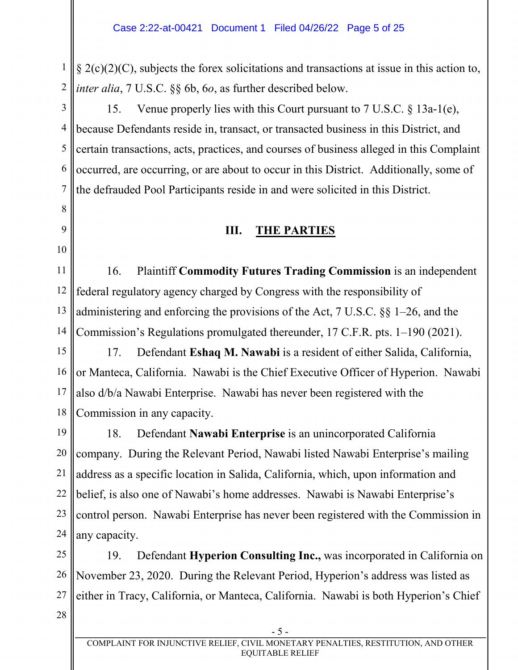1 2  $\S 2(c)(2)(C)$ , subjects the forex solicitations and transactions at issue in this action to, *inter alia*, 7 U.S.C. §§ 6b, 6*o*, as further described below.

3 4 5 6 7 15. Venue properly lies with this Court pursuant to 7 U.S.C. § 13a-1(e), because Defendants reside in, transact, or transacted business in this District, and certain transactions, acts, practices, and courses of business alleged in this Complaint occurred, are occurring, or are about to occur in this District. Additionally, some of the defrauded Pool Participants reside in and were solicited in this District.

## **III. THE PARTIES**

11 12 13 14 16. Plaintiff **Commodity Futures Trading Commission** is an independent federal regulatory agency charged by Congress with the responsibility of administering and enforcing the provisions of the Act, 7 U.S.C. §§ 1–26, and the Commission's Regulations promulgated thereunder, 17 C.F.R. pts. 1–190 (2021).

15 16 17 18 17. Defendant **Eshaq M. Nawabi** is a resident of either Salida, California, or Manteca, California. Nawabi is the Chief Executive Officer of Hyperion. Nawabi also d/b/a Nawabi Enterprise. Nawabi has never been registered with the Commission in any capacity.

19 20 21 22 23 24 18. Defendant **Nawabi Enterprise** is an unincorporated California company. During the Relevant Period, Nawabi listed Nawabi Enterprise's mailing address as a specific location in Salida, California, which, upon information and belief, is also one of Nawabi's home addresses. Nawabi is Nawabi Enterprise's control person. Nawabi Enterprise has never been registered with the Commission in any capacity.

25 26 27 19. Defendant **Hyperion Consulting Inc.,** was incorporated in California on November 23, 2020. During the Relevant Period, Hyperion's address was listed as either in Tracy, California, or Manteca, California. Nawabi is both Hyperion's Chief

28

8

9

10

- 5 -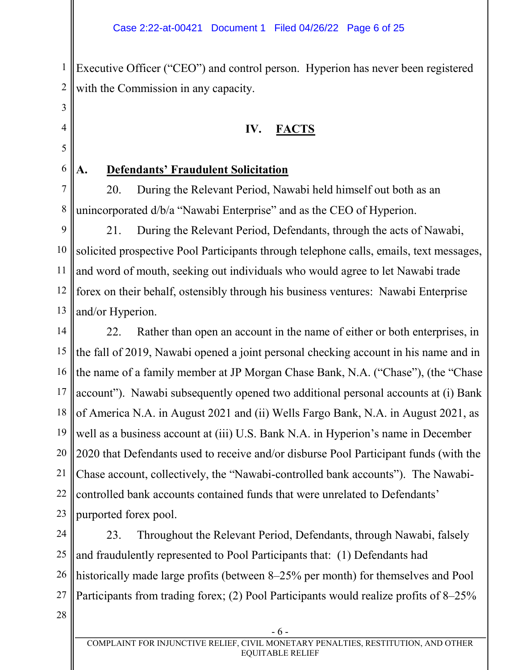1 2 Executive Officer ("CEO") and control person. Hyperion has never been registered with the Commission in any capacity.

## **IV. FACTS**

## **A. Defendants' Fraudulent Solicitation**

7 8 20. During the Relevant Period, Nawabi held himself out both as an unincorporated d/b/a "Nawabi Enterprise" and as the CEO of Hyperion.

9 10 11 12 13 21. During the Relevant Period, Defendants, through the acts of Nawabi, solicited prospective Pool Participants through telephone calls, emails, text messages, and word of mouth, seeking out individuals who would agree to let Nawabi trade forex on their behalf, ostensibly through his business ventures: Nawabi Enterprise and/or Hyperion.

14 15 16 17 18 19 20 21 22 23 22. Rather than open an account in the name of either or both enterprises, in the fall of 2019, Nawabi opened a joint personal checking account in his name and in the name of a family member at JP Morgan Chase Bank, N.A. ("Chase"), (the "Chase account"). Nawabi subsequently opened two additional personal accounts at (i) Bank of America N.A. in August 2021 and (ii) Wells Fargo Bank, N.A. in August 2021, as well as a business account at (iii) U.S. Bank N.A. in Hyperion's name in December 2020 that Defendants used to receive and/or disburse Pool Participant funds (with the Chase account, collectively, the "Nawabi-controlled bank accounts"). The Nawabicontrolled bank accounts contained funds that were unrelated to Defendants' purported forex pool.

24 25 26 27 23. Throughout the Relevant Period, Defendants, through Nawabi, falsely and fraudulently represented to Pool Participants that: (1) Defendants had historically made large profits (between 8–25% per month) for themselves and Pool Participants from trading forex; (2) Pool Participants would realize profits of 8–25%

28

3

4

5

6

- 6 -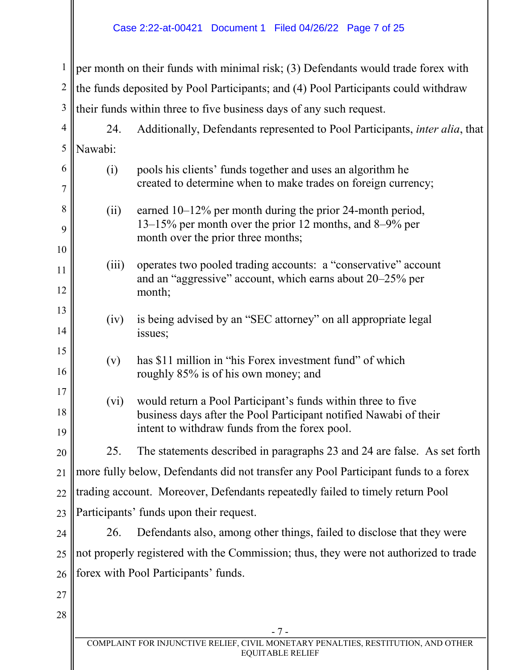#### Case 2:22-at-00421 Document 1 Filed 04/26/22 Page 7 of 25

1 2 3  $\parallel$  per month on their funds with minimal risk; (3) Defendants would trade forex with the funds deposited by Pool Participants; and (4) Pool Participants could withdraw their funds within three to five business days of any such request.

4 5 24. Additionally, Defendants represented to Pool Participants, *inter alia*, that Nawabi:

| 6  | (i)   | pools his clients' funds together and uses an algorithm he                                                                  |
|----|-------|-----------------------------------------------------------------------------------------------------------------------------|
| 7  |       | created to determine when to make trades on foreign currency;                                                               |
| 8  | (ii)  | earned $10-12\%$ per month during the prior 24-month period,                                                                |
| 9  |       | 13–15% per month over the prior 12 months, and 8–9% per<br>month over the prior three months;                               |
| 10 |       |                                                                                                                             |
| 11 | (iii) | operates two pooled trading accounts: a "conservative" account<br>and an "aggressive" account, which earns about 20–25% per |
| 12 |       | month;                                                                                                                      |
| 13 | (iv)  | is being advised by an "SEC attorney" on all appropriate legal                                                              |
| 14 |       | issues;                                                                                                                     |
| 15 | (v)   | has \$11 million in "his Forex investment fund" of which                                                                    |
| 16 |       | roughly 85% is of his own money; and                                                                                        |
| 17 | (vi)  | would return a Pool Participant's funds within three to five                                                                |
| 18 |       | business days after the Pool Participant notified Nawabi of their                                                           |
| 19 |       | intent to withdraw funds from the forex pool.                                                                               |
| 20 | 25.   | The statements described in paragraphs 23 and 24 are false. As set forth                                                    |
| 21 |       | more fully below, Defendants did not transfer any Pool Participant funds to a forex                                         |
| 22 |       | trading account. Moreover, Defendants repeatedly failed to timely return Pool                                               |
| 23 |       | Participants' funds upon their request.                                                                                     |
| 24 | 26.   | Defendants also, among other things, failed to disclose that they were                                                      |
| 25 |       | not properly registered with the Commission; thus, they were not authorized to trade                                        |

26 27

forex with Pool Participants' funds.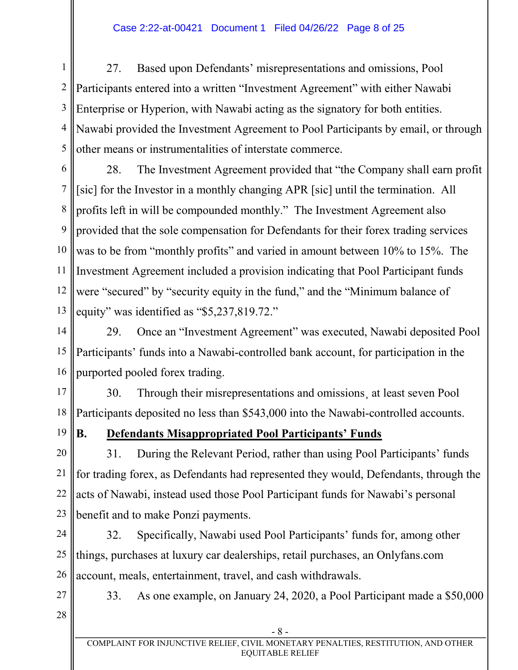#### Case 2:22-at-00421 Document 1 Filed 04/26/22 Page 8 of 25

1 2 3 4 5 27. Based upon Defendants' misrepresentations and omissions, Pool Participants entered into a written "Investment Agreement" with either Nawabi Enterprise or Hyperion, with Nawabi acting as the signatory for both entities. Nawabi provided the Investment Agreement to Pool Participants by email, or through other means or instrumentalities of interstate commerce.

6 7 8 9 10 11 12 13 28. The Investment Agreement provided that "the Company shall earn profit [sic] for the Investor in a monthly changing APR [sic] until the termination. All profits left in will be compounded monthly." The Investment Agreement also provided that the sole compensation for Defendants for their forex trading services was to be from "monthly profits" and varied in amount between 10% to 15%. The Investment Agreement included a provision indicating that Pool Participant funds were "secured" by "security equity in the fund," and the "Minimum balance of equity" was identified as "\$5,237,819.72."

14 15 16 29. Once an "Investment Agreement" was executed, Nawabi deposited Pool Participants' funds into a Nawabi-controlled bank account, for participation in the purported pooled forex trading.

17 18 30. Through their misrepresentations and omissions¸ at least seven Pool Participants deposited no less than \$543,000 into the Nawabi-controlled accounts.

19

## **B. Defendants Misappropriated Pool Participants' Funds**

20 21 22 23 31. During the Relevant Period, rather than using Pool Participants' funds for trading forex, as Defendants had represented they would, Defendants, through the acts of Nawabi, instead used those Pool Participant funds for Nawabi's personal benefit and to make Ponzi payments.

24 25 26 32. Specifically, Nawabi used Pool Participants' funds for, among other things, purchases at luxury car dealerships, retail purchases, an Onlyfans.com account, meals, entertainment, travel, and cash withdrawals.

33. As one example, on January 24, 2020, a Pool Participant made a \$50,000

28

27

- 8 -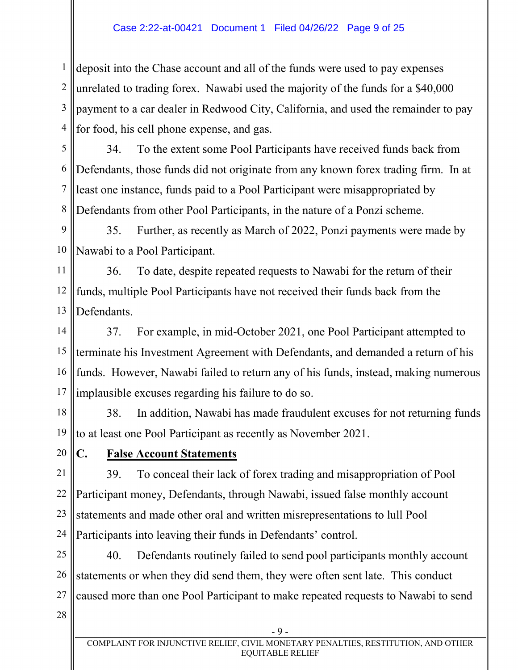#### Case 2:22-at-00421 Document 1 Filed 04/26/22 Page 9 of 25

1 2 3 4 deposit into the Chase account and all of the funds were used to pay expenses unrelated to trading forex. Nawabi used the majority of the funds for a \$40,000 payment to a car dealer in Redwood City, California, and used the remainder to pay for food, his cell phone expense, and gas.

5 6 7 8 34. To the extent some Pool Participants have received funds back from Defendants, those funds did not originate from any known forex trading firm. In at least one instance, funds paid to a Pool Participant were misappropriated by Defendants from other Pool Participants, in the nature of a Ponzi scheme.

9 10 35. Further, as recently as March of 2022, Ponzi payments were made by Nawabi to a Pool Participant.

11 12 13 36. To date, despite repeated requests to Nawabi for the return of their funds, multiple Pool Participants have not received their funds back from the Defendants.

14 15 16 17 37. For example, in mid-October 2021, one Pool Participant attempted to terminate his Investment Agreement with Defendants, and demanded a return of his funds. However, Nawabi failed to return any of his funds, instead, making numerous implausible excuses regarding his failure to do so.

18 19 38. In addition, Nawabi has made fraudulent excuses for not returning funds to at least one Pool Participant as recently as November 2021.

20

### **C. False Account Statements**

21 22 23 24 39. To conceal their lack of forex trading and misappropriation of Pool Participant money, Defendants, through Nawabi, issued false monthly account statements and made other oral and written misrepresentations to lull Pool Participants into leaving their funds in Defendants' control.

25 26 27 40. Defendants routinely failed to send pool participants monthly account statements or when they did send them, they were often sent late. This conduct caused more than one Pool Participant to make repeated requests to Nawabi to send

28

- 9 -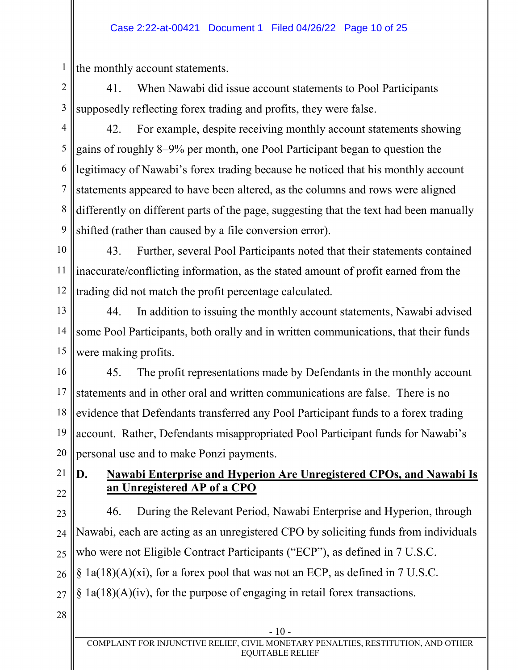#### Case 2:22-at-00421 Document 1 Filed 04/26/22 Page 10 of 25

the monthly account statements.

1

2 3 41. When Nawabi did issue account statements to Pool Participants supposedly reflecting forex trading and profits, they were false.

4 5 6 7 8 9 42. For example, despite receiving monthly account statements showing gains of roughly 8–9% per month, one Pool Participant began to question the legitimacy of Nawabi's forex trading because he noticed that his monthly account statements appeared to have been altered, as the columns and rows were aligned differently on different parts of the page, suggesting that the text had been manually shifted (rather than caused by a file conversion error).

10 11 12 43. Further, several Pool Participants noted that their statements contained inaccurate/conflicting information, as the stated amount of profit earned from the trading did not match the profit percentage calculated.

13 14 15 44. In addition to issuing the monthly account statements, Nawabi advised some Pool Participants, both orally and in written communications, that their funds were making profits.

16 17 18 19 20 45. The profit representations made by Defendants in the monthly account statements and in other oral and written communications are false. There is no evidence that Defendants transferred any Pool Participant funds to a forex trading account. Rather, Defendants misappropriated Pool Participant funds for Nawabi's personal use and to make Ponzi payments.

21 22

## **D. Nawabi Enterprise and Hyperion Are Unregistered CPOs, and Nawabi Is an Unregistered AP of a CPO**

23

24 25 26 27 46. During the Relevant Period, Nawabi Enterprise and Hyperion, through Nawabi, each are acting as an unregistered CPO by soliciting funds from individuals who were not Eligible Contract Participants ("ECP"), as defined in 7 U.S.C. § 1a(18)(A)(xi), for a forex pool that was not an ECP, as defined in 7 U.S.C.  $§$  1a(18)(A)(iv), for the purpose of engaging in retail forex transactions.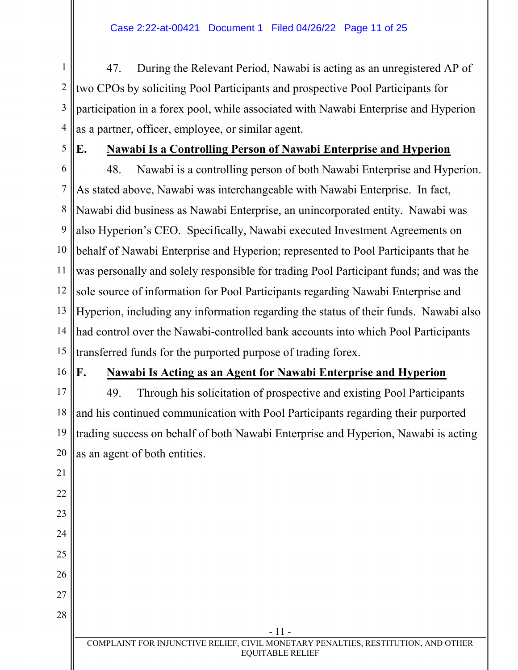1 2 3 4 47. During the Relevant Period, Nawabi is acting as an unregistered AP of two CPOs by soliciting Pool Participants and prospective Pool Participants for participation in a forex pool, while associated with Nawabi Enterprise and Hyperion as a partner, officer, employee, or similar agent.

5

## **E. Nawabi Is a Controlling Person of Nawabi Enterprise and Hyperion**

6 7 8 9 10 11 12 13 14 15 48. Nawabi is a controlling person of both Nawabi Enterprise and Hyperion. As stated above, Nawabi was interchangeable with Nawabi Enterprise. In fact, Nawabi did business as Nawabi Enterprise, an unincorporated entity. Nawabi was also Hyperion's CEO. Specifically, Nawabi executed Investment Agreements on behalf of Nawabi Enterprise and Hyperion; represented to Pool Participants that he was personally and solely responsible for trading Pool Participant funds; and was the sole source of information for Pool Participants regarding Nawabi Enterprise and Hyperion, including any information regarding the status of their funds. Nawabi also had control over the Nawabi-controlled bank accounts into which Pool Participants transferred funds for the purported purpose of trading forex.

16

21

22

23

24

25

26

27

28

## **F. Nawabi Is Acting as an Agent for Nawabi Enterprise and Hyperion**

17 18 19 20 49. Through his solicitation of prospective and existing Pool Participants and his continued communication with Pool Participants regarding their purported trading success on behalf of both Nawabi Enterprise and Hyperion, Nawabi is acting as an agent of both entities.

- 11 -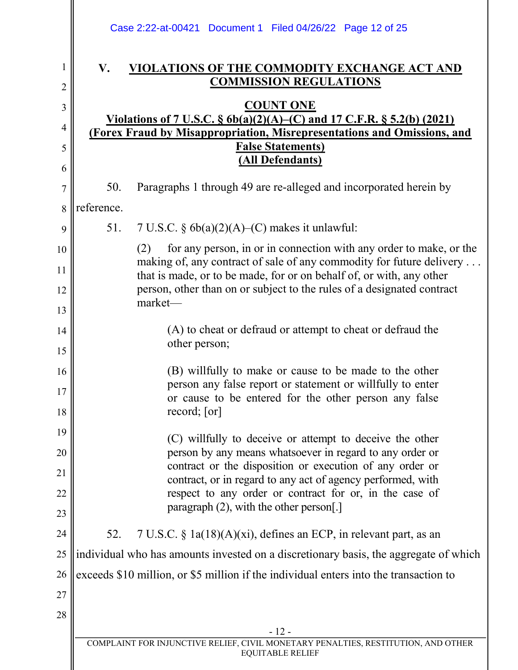|                     |                                                                                                                                                          | Case 2:22-at-00421 Document 1 Filed 04/26/22 Page 12 of 25                                                                                        |  |
|---------------------|----------------------------------------------------------------------------------------------------------------------------------------------------------|---------------------------------------------------------------------------------------------------------------------------------------------------|--|
| 1<br>$\overline{c}$ | V.                                                                                                                                                       | VIOLATIONS OF THE COMMODITY EXCHANGE ACT AND<br><b>COMMISSION REGULATIONS</b>                                                                     |  |
| 3                   |                                                                                                                                                          | <b>COUNT ONE</b>                                                                                                                                  |  |
| 4                   | <u>Violations of 7 U.S.C. § 6b(a)(2)(A)–(C) and 17 C.F.R. § 5.2(b) (2021)</u><br>(Forex Fraud by Misappropriation, Misrepresentations and Omissions, and |                                                                                                                                                   |  |
| 5                   |                                                                                                                                                          | <b>False Statements)</b>                                                                                                                          |  |
| 6                   |                                                                                                                                                          | (All Defendants)                                                                                                                                  |  |
| $\overline{7}$      | 50.                                                                                                                                                      | Paragraphs 1 through 49 are re-alleged and incorporated herein by                                                                                 |  |
| 8                   | reference.                                                                                                                                               |                                                                                                                                                   |  |
| 9                   | 51.                                                                                                                                                      | 7 U.S.C. $\S$ 6b(a)(2)(A)–(C) makes it unlawful:                                                                                                  |  |
| 10                  |                                                                                                                                                          | for any person, in or in connection with any order to make, or the<br>(2)<br>making of, any contract of sale of any commodity for future delivery |  |
| 11                  | that is made, or to be made, for or on behalf of, or with, any other                                                                                     |                                                                                                                                                   |  |
| 12                  | person, other than on or subject to the rules of a designated contract<br>market-                                                                        |                                                                                                                                                   |  |
| 13                  |                                                                                                                                                          |                                                                                                                                                   |  |
| 14<br>15            |                                                                                                                                                          | (A) to cheat or defraud or attempt to cheat or defraud the<br>other person;                                                                       |  |
| 16                  |                                                                                                                                                          | (B) willfully to make or cause to be made to the other                                                                                            |  |
| 17                  |                                                                                                                                                          | person any false report or statement or willfully to enter<br>or cause to be entered for the other person any false                               |  |
| 18                  |                                                                                                                                                          | record; [or]                                                                                                                                      |  |
| 19                  |                                                                                                                                                          | (C) willfully to deceive or attempt to deceive the other                                                                                          |  |
| 20                  |                                                                                                                                                          | person by any means whatsoever in regard to any order or<br>contract or the disposition or execution of any order or                              |  |
| 21                  |                                                                                                                                                          | contract, or in regard to any act of agency performed, with                                                                                       |  |
| 22<br>23            |                                                                                                                                                          | respect to any order or contract for or, in the case of<br>paragraph $(2)$ , with the other person[.]                                             |  |
| 24                  | 52.                                                                                                                                                      | 7 U.S.C. $\S$ 1a(18)(A)(xi), defines an ECP, in relevant part, as an                                                                              |  |
| 25                  | individual who has amounts invested on a discretionary basis, the aggregate of which                                                                     |                                                                                                                                                   |  |
| 26                  | exceeds \$10 million, or \$5 million if the individual enters into the transaction to                                                                    |                                                                                                                                                   |  |
| 27                  |                                                                                                                                                          |                                                                                                                                                   |  |
| 28                  |                                                                                                                                                          |                                                                                                                                                   |  |
|                     |                                                                                                                                                          | $-12-$                                                                                                                                            |  |
|                     |                                                                                                                                                          | COMPLAINT FOR INJUNCTIVE RELIEF, CIVIL MONETARY PENALTIES, RESTITUTION, AND OTHER<br><b>EQUITABLE RELIEF</b>                                      |  |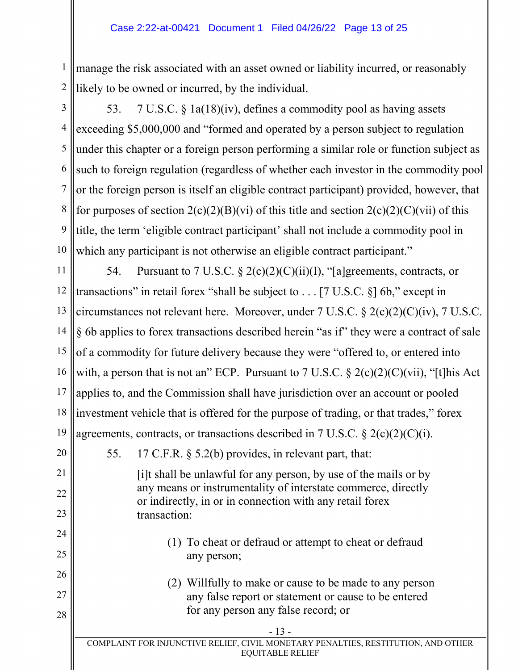#### Case 2:22-at-00421 Document 1 Filed 04/26/22 Page 13 of 25

1 2 manage the risk associated with an asset owned or liability incurred, or reasonably likely to be owned or incurred, by the individual.

3

21

22

23

24

25

26

27

28

4 5 6 7 8 9 10 53. 7 U.S.C. § 1a(18)(iv), defines a commodity pool as having assets exceeding \$5,000,000 and "formed and operated by a person subject to regulation under this chapter or a foreign person performing a similar role or function subject as such to foreign regulation (regardless of whether each investor in the commodity pool or the foreign person is itself an eligible contract participant) provided, however, that for purposes of section  $2(c)(2)(B)(vi)$  of this title and section  $2(c)(2)(C)(vii)$  of this title, the term 'eligible contract participant' shall not include a commodity pool in which any participant is not otherwise an eligible contract participant."

11 12 13 14 15 16 17 18 19 54. Pursuant to 7 U.S.C.  $\S 2(c)(2)(C)(ii)(I)$ , "[a]greements, contracts, or transactions" in retail forex "shall be subject to  $\dots$  [7 U.S.C. §] 6b," except in circumstances not relevant here. Moreover, under 7 U.S.C. § 2(c)(2)(C)(iv), 7 U.S.C. § 6b applies to forex transactions described herein "as if" they were a contract of sale of a commodity for future delivery because they were "offered to, or entered into with, a person that is not an" ECP. Pursuant to 7 U.S.C.  $\S 2(c)(2)(C)(vi)$ , "[t]his Act applies to, and the Commission shall have jurisdiction over an account or pooled investment vehicle that is offered for the purpose of trading, or that trades," forex agreements, contracts, or transactions described in 7 U.S.C.  $\S 2(c)(2)(C)(i)$ .

20 55. 17 C.F.R. § 5.2(b) provides, in relevant part, that:

> [i]t shall be unlawful for any person, by use of the mails or by any means or instrumentality of interstate commerce, directly or indirectly, in or in connection with any retail forex transaction:

- (1) To cheat or defraud or attempt to cheat or defraud any person;
- (2) Willfully to make or cause to be made to any person any false report or statement or cause to be entered for any person any false record; or
	- 13 -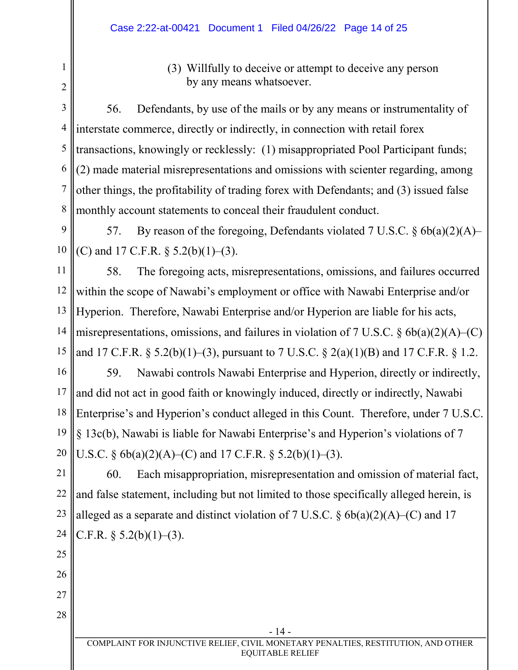(3) Willfully to deceive or attempt to deceive any person by any means whatsoever.

3 4 5 6 7 8 56. Defendants, by use of the mails or by any means or instrumentality of interstate commerce, directly or indirectly, in connection with retail forex transactions, knowingly or recklessly: (1) misappropriated Pool Participant funds; (2) made material misrepresentations and omissions with scienter regarding, among other things, the profitability of trading forex with Defendants; and (3) issued false monthly account statements to conceal their fraudulent conduct.

9 10 57. By reason of the foregoing, Defendants violated 7 U.S.C. § 6b(a)(2)(A)– (C) and 17 C.F.R.  $\S$  5.2(b)(1)–(3).

11 12 13 14 15 58. The foregoing acts, misrepresentations, omissions, and failures occurred within the scope of Nawabi's employment or office with Nawabi Enterprise and/or Hyperion. Therefore, Nawabi Enterprise and/or Hyperion are liable for his acts, misrepresentations, omissions, and failures in violation of 7 U.S.C.  $\S$  6b(a)(2)(A)–(C) and 17 C.F.R. § 5.2(b)(1)–(3), pursuant to 7 U.S.C. § 2(a)(1)(B) and 17 C.F.R. § 1.2.

16 17 18 19 20 59. Nawabi controls Nawabi Enterprise and Hyperion, directly or indirectly, and did not act in good faith or knowingly induced, directly or indirectly, Nawabi Enterprise's and Hyperion's conduct alleged in this Count. Therefore, under 7 U.S.C. § 13c(b), Nawabi is liable for Nawabi Enterprise's and Hyperion's violations of 7 U.S.C.  $\S 6b(a)(2)(A)$  (C) and 17 C.F.R.  $\S 5.2(b)(1)$  (3).

21 22 23 24 60. Each misappropriation, misrepresentation and omission of material fact, and false statement, including but not limited to those specifically alleged herein, is alleged as a separate and distinct violation of 7 U.S.C.  $\S$  6b(a)(2)(A)–(C) and 17 C.F.R.  $\S$  5.2(b)(1)–(3).

25

1

2

- 26
- 27
- 28

- 14 -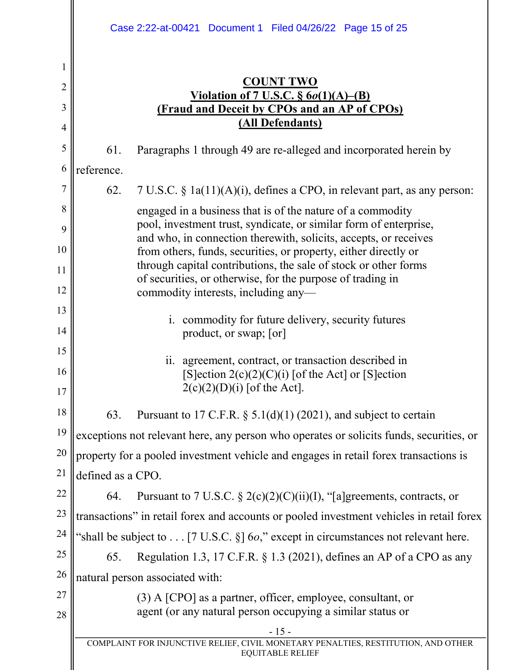|                |                                                                                                                                    | Case 2:22-at-00421 Document 1 Filed 04/26/22 Page 15 of 25                                                                                       |  |  |
|----------------|------------------------------------------------------------------------------------------------------------------------------------|--------------------------------------------------------------------------------------------------------------------------------------------------|--|--|
| 1              |                                                                                                                                    | <b>COUNT TWO</b>                                                                                                                                 |  |  |
| $\overline{2}$ |                                                                                                                                    | Violation of 7 U.S.C. $\S$ 6 <i>o</i> (1)(A)–(B)                                                                                                 |  |  |
| 3              |                                                                                                                                    | <b>(Fraud and Deceit by CPOs and an AP of CPOs)</b><br>(All Defendants)                                                                          |  |  |
| $\overline{4}$ |                                                                                                                                    |                                                                                                                                                  |  |  |
| 5              | 61.                                                                                                                                | Paragraphs 1 through 49 are re-alleged and incorporated herein by                                                                                |  |  |
| 6              | reference.                                                                                                                         |                                                                                                                                                  |  |  |
| 7              | 62.                                                                                                                                | $7 U.S.C. § 1a(11)(A)(i)$ , defines a CPO, in relevant part, as any person:                                                                      |  |  |
| 8              |                                                                                                                                    | engaged in a business that is of the nature of a commodity<br>pool, investment trust, syndicate, or similar form of enterprise,                  |  |  |
| 9              |                                                                                                                                    | and who, in connection therewith, solicits, accepts, or receives                                                                                 |  |  |
| 10             | from others, funds, securities, or property, either directly or<br>through capital contributions, the sale of stock or other forms |                                                                                                                                                  |  |  |
| 11<br>12       |                                                                                                                                    | of securities, or otherwise, for the purpose of trading in                                                                                       |  |  |
| 13             |                                                                                                                                    | commodity interests, including any-                                                                                                              |  |  |
| 14             | i. commodity for future delivery, security futures<br>product, or swap; [or]                                                       |                                                                                                                                                  |  |  |
| 15             |                                                                                                                                    |                                                                                                                                                  |  |  |
| 16<br>17       |                                                                                                                                    | agreement, contract, or transaction described in<br>11.<br>$[S]$ ection 2(c)(2)(C)(i) [of the Act] or [S]ection<br>$2(c)(2)(D)(i)$ [of the Act]. |  |  |
| 18             | 63.                                                                                                                                | Pursuant to 17 C.F.R. $\S$ 5.1(d)(1) (2021), and subject to certain                                                                              |  |  |
| 19             |                                                                                                                                    | exceptions not relevant here, any person who operates or solicits funds, securities, or                                                          |  |  |
| 20             | property for a pooled investment vehicle and engages in retail forex transactions is                                               |                                                                                                                                                  |  |  |
| 21             | defined as a CPO.                                                                                                                  |                                                                                                                                                  |  |  |
| 22             | 64.                                                                                                                                | Pursuant to 7 U.S.C. § 2(c)(2)(C)(ii)(I), "[a]greements, contracts, or                                                                           |  |  |
| 23             | transactions" in retail forex and accounts or pooled investment vehicles in retail forex                                           |                                                                                                                                                  |  |  |
| 24             | "shall be subject to [7 U.S.C. $\S$ ] 60," except in circumstances not relevant here.                                              |                                                                                                                                                  |  |  |
| 25             | 65.                                                                                                                                | Regulation 1.3, 17 C.F.R. § 1.3 (2021), defines an AP of a CPO as any                                                                            |  |  |
| 26             | natural person associated with:                                                                                                    |                                                                                                                                                  |  |  |
| 27             |                                                                                                                                    | $(3)$ A [CPO] as a partner, officer, employee, consultant, or                                                                                    |  |  |
| 28             |                                                                                                                                    | agent (or any natural person occupying a similar status or                                                                                       |  |  |
|                |                                                                                                                                    | $-15-$<br>COMPLAINT FOR INJUNCTIVE RELIEF, CIVIL MONETARY PENALTIES, RESTITUTION, AND OTHER<br><b>EQUITABLE RELIEF</b>                           |  |  |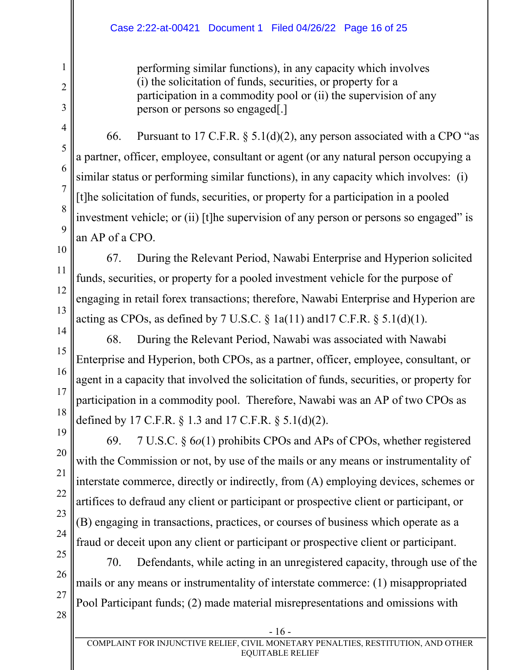#### Case 2:22-at-00421 Document 1 Filed 04/26/22 Page 16 of 25

performing similar functions), in any capacity which involves (i) the solicitation of funds, securities, or property for a participation in a commodity pool or (ii) the supervision of any person or persons so engaged[.]

66. Pursuant to 17 C.F.R.  $\S$  5.1(d)(2), any person associated with a CPO "as a partner, officer, employee, consultant or agent (or any natural person occupying a similar status or performing similar functions), in any capacity which involves: (i) [t]he solicitation of funds, securities, or property for a participation in a pooled investment vehicle; or (ii) [t]he supervision of any person or persons so engaged" is an AP of a CPO.

10 67. During the Relevant Period, Nawabi Enterprise and Hyperion solicited funds, securities, or property for a pooled investment vehicle for the purpose of engaging in retail forex transactions; therefore, Nawabi Enterprise and Hyperion are acting as CPOs, as defined by  $7 \text{ U.S.C.} \$  1a(11) and 17 C.F.R.  $\$  5.1(d)(1).

15 68. During the Relevant Period, Nawabi was associated with Nawabi Enterprise and Hyperion, both CPOs, as a partner, officer, employee, consultant, or agent in a capacity that involved the solicitation of funds, securities, or property for participation in a commodity pool. Therefore, Nawabi was an AP of two CPOs as defined by 17 C.F.R. § 1.3 and 17 C.F.R. § 5.1(d)(2).

22 69. 7 U.S.C. § 6*o*(1) prohibits CPOs and APs of CPOs, whether registered with the Commission or not, by use of the mails or any means or instrumentality of interstate commerce, directly or indirectly, from (A) employing devices, schemes or artifices to defraud any client or participant or prospective client or participant, or (B) engaging in transactions, practices, or courses of business which operate as a fraud or deceit upon any client or participant or prospective client or participant.

25 26 27 28 70. Defendants, while acting in an unregistered capacity, through use of the mails or any means or instrumentality of interstate commerce: (1) misappropriated Pool Participant funds; (2) made material misrepresentations and omissions with

1

2

3

4

5

6

7

8

9

11

12

13

14

16

17

18

19

20

21

23

24

- 16 -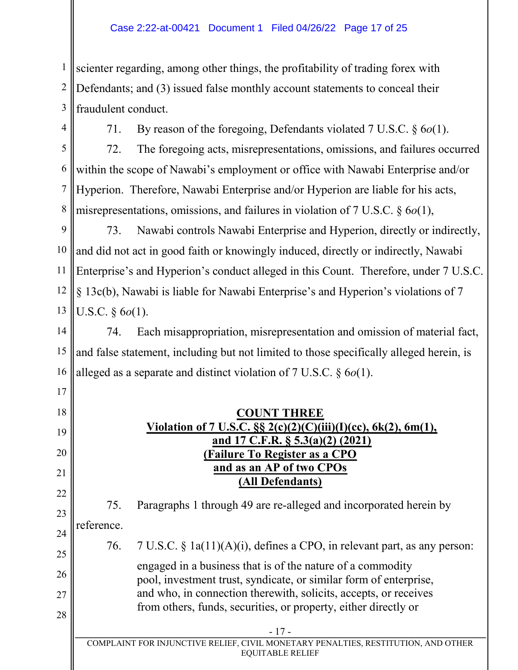1 2 3 scienter regarding, among other things, the profitability of trading forex with Defendants; and (3) issued false monthly account statements to conceal their fraudulent conduct.

4

17

28

71. By reason of the foregoing, Defendants violated 7 U.S.C. § 6*o*(1).

5 6 7 8 72. The foregoing acts, misrepresentations, omissions, and failures occurred within the scope of Nawabi's employment or office with Nawabi Enterprise and/or Hyperion. Therefore, Nawabi Enterprise and/or Hyperion are liable for his acts, misrepresentations, omissions, and failures in violation of 7 U.S.C. § 6*o*(1),

9 10 11 12 13 73. Nawabi controls Nawabi Enterprise and Hyperion, directly or indirectly, and did not act in good faith or knowingly induced, directly or indirectly, Nawabi Enterprise's and Hyperion's conduct alleged in this Count. Therefore, under 7 U.S.C. § 13c(b), Nawabi is liable for Nawabi Enterprise's and Hyperion's violations of 7 U.S.C. § 6*o*(1).

14 15 16 74. Each misappropriation, misrepresentation and omission of material fact, and false statement, including but not limited to those specifically alleged herein, is alleged as a separate and distinct violation of 7 U.S.C. § 6*o*(1).

18 19 20 21 22 23 24 25 26 27 **COUNT THREE Violation of 7 U.S.C. §§ 2(c)(2)(C)(iii)(I)(cc), 6k(2), 6m(1), and 17 C.F.R. § 5.3(a)(2) (2021) (Failure To Register as a CPO and as an AP of two CPOs (All Defendants)** 75. Paragraphs 1 through 49 are re-alleged and incorporated herein by reference. 76. 7 U.S.C. § 1a(11)(A)(i), defines a CPO, in relevant part, as any person: engaged in a business that is of the nature of a commodity pool, investment trust, syndicate, or similar form of enterprise, and who, in connection therewith, solicits, accepts, or receives

from others, funds, securities, or property, either directly or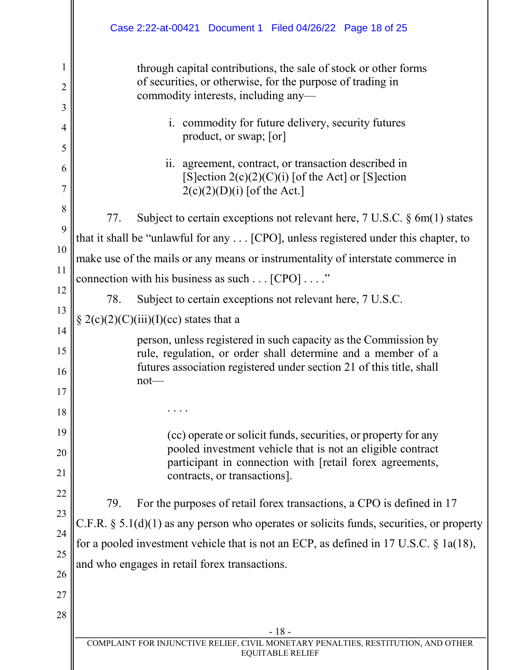|                | Case 2:22-at-00421 Document 1 Filed 04/26/22 Page 18 of 25                                                                                                                                              |  |  |
|----------------|---------------------------------------------------------------------------------------------------------------------------------------------------------------------------------------------------------|--|--|
| 1              | through capital contributions, the sale of stock or other forms                                                                                                                                         |  |  |
| $\overline{2}$ | of securities, or otherwise, for the purpose of trading in<br>commodity interests, including any-                                                                                                       |  |  |
| 3              |                                                                                                                                                                                                         |  |  |
| 4              | i. commodity for future delivery, security futures<br>product, or swap; [or]                                                                                                                            |  |  |
| 5              |                                                                                                                                                                                                         |  |  |
| 6<br>7         | ii. agreement, contract, or transaction described in<br>[S] ection $2(c)(2)(C)(i)$ [of the Act] or [S] ection<br>$2(c)(2)(D)(i)$ [of the Act.]                                                          |  |  |
| 8              |                                                                                                                                                                                                         |  |  |
| 9              | 77.<br>Subject to certain exceptions not relevant here, $7 \text{ U.S.C. } \S \text{ 6m(1)}$ states                                                                                                     |  |  |
| 10             | that it shall be "unlawful for any [CPO], unless registered under this chapter, to                                                                                                                      |  |  |
| 11             | make use of the mails or any means or instrumentality of interstate commerce in                                                                                                                         |  |  |
| 12             | connection with his business as such $\dots$ [CPO] $\dots$ ."                                                                                                                                           |  |  |
| 13             | 78.<br>Subject to certain exceptions not relevant here, 7 U.S.C.                                                                                                                                        |  |  |
|                | § 2(c)(2)(C)(iii)(I)(cc) states that a                                                                                                                                                                  |  |  |
| 14<br>15       | person, unless registered in such capacity as the Commission by<br>rule, regulation, or order shall determine and a member of a<br>futures association registered under section 21 of this title, shall |  |  |
| 16             | $not$ —                                                                                                                                                                                                 |  |  |
| 17             |                                                                                                                                                                                                         |  |  |
| 18             |                                                                                                                                                                                                         |  |  |
| 19<br>20       | (cc) operate or solicit funds, securities, or property for any<br>pooled investment vehicle that is not an eligible contract                                                                            |  |  |
| 21             | participant in connection with [retail forex agreements,<br>contracts, or transactions].                                                                                                                |  |  |
| 22             | For the purposes of retail forex transactions, a CPO is defined in 17<br>79.                                                                                                                            |  |  |
| 23             | C.F.R. $\S$ 5.1(d)(1) as any person who operates or solicits funds, securities, or property                                                                                                             |  |  |
| 24             | for a pooled investment vehicle that is not an ECP, as defined in 17 U.S.C. $\S$ 1a(18),                                                                                                                |  |  |
| 25             | and who engages in retail forex transactions.                                                                                                                                                           |  |  |
| 26             |                                                                                                                                                                                                         |  |  |
| 27             |                                                                                                                                                                                                         |  |  |
| 28             |                                                                                                                                                                                                         |  |  |
|                | $-18-$<br>COMPLAINT FOR INJUNCTIVE RELIEF, CIVIL MONETARY PENALTIES, RESTITUTION, AND OTHER                                                                                                             |  |  |
|                | <b>EQUITABLE RELIEF</b>                                                                                                                                                                                 |  |  |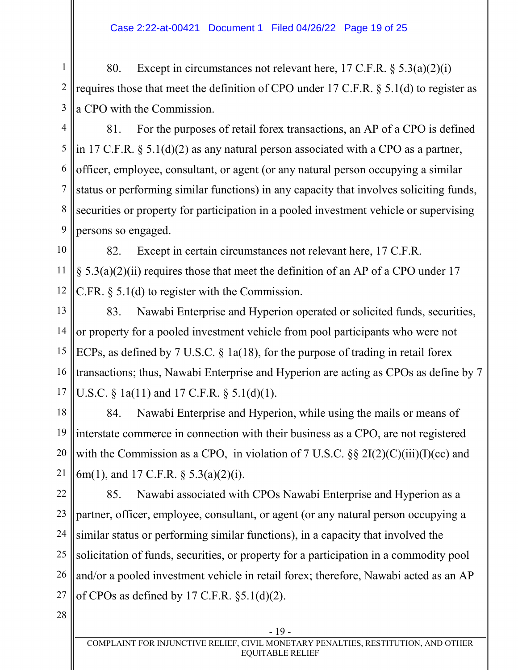#### Case 2:22-at-00421 Document 1 Filed 04/26/22 Page 19 of 25

1 2 3 80. Except in circumstances not relevant here,  $17 \text{ C.F.R.}$  §  $5.3(a)(2)(i)$ requires those that meet the definition of CPO under 17 C.F.R. § 5.1(d) to register as a CPO with the Commission.

4 5 6 7 8 9 81. For the purposes of retail forex transactions, an AP of a CPO is defined in 17 C.F.R. § 5.1(d)(2) as any natural person associated with a CPO as a partner, officer, employee, consultant, or agent (or any natural person occupying a similar status or performing similar functions) in any capacity that involves soliciting funds, securities or property for participation in a pooled investment vehicle or supervising persons so engaged.

10 11 12 82. Except in certain circumstances not relevant here, 17 C.F.R.  $\S$  5.3(a)(2)(ii) requires those that meet the definition of an AP of a CPO under 17 C.FR. § 5.1(d) to register with the Commission.

13 14 15 16 17 83. Nawabi Enterprise and Hyperion operated or solicited funds, securities, or property for a pooled investment vehicle from pool participants who were not ECPs, as defined by 7 U.S.C. § 1a(18), for the purpose of trading in retail forex transactions; thus, Nawabi Enterprise and Hyperion are acting as CPOs as define by 7 U.S.C. § 1a(11) and 17 C.F.R. § 5.1(d)(1).

18 19 20 21 84. Nawabi Enterprise and Hyperion, while using the mails or means of interstate commerce in connection with their business as a CPO, are not registered with the Commission as a CPO, in violation of 7 U.S.C.  $\S\S 2I(2)(C)(iii)(I)(cc)$  and 6m(1), and 17 C.F.R. § 5.3(a)(2)(i).

22 23 24 25 26 27 85. Nawabi associated with CPOs Nawabi Enterprise and Hyperion as a partner, officer, employee, consultant, or agent (or any natural person occupying a similar status or performing similar functions), in a capacity that involved the solicitation of funds, securities, or property for a participation in a commodity pool and/or a pooled investment vehicle in retail forex; therefore, Nawabi acted as an AP of CPOs as defined by 17 C.F.R. §5.1(d)(2).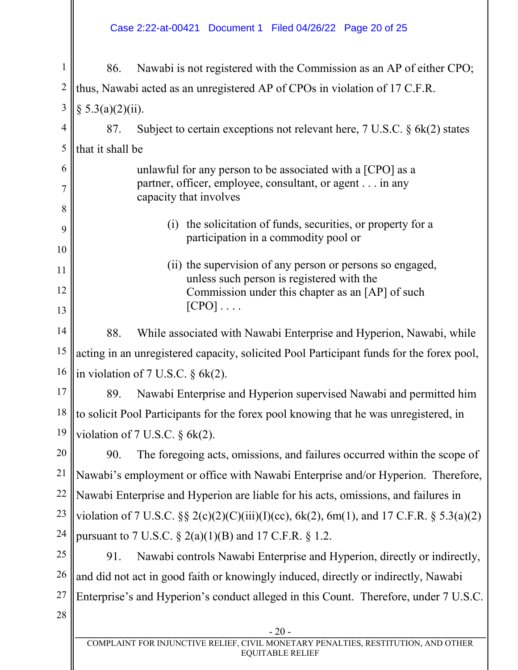#### Case 2:22-at-00421 Document 1 Filed 04/26/22 Page 20 of 25

- 20 - 1 2 3 4 5 6 7 8 9 10 11 12 13 14 15 16 17 18 19 20 21 22 23 24 25 26 27 28 86. Nawabi is not registered with the Commission as an AP of either CPO; thus, Nawabi acted as an unregistered AP of CPOs in violation of 17 C.F.R.  $§ 5.3(a)(2)(ii).$ 87. Subject to certain exceptions not relevant here, 7 U.S.C. § 6k(2) states that it shall be unlawful for any person to be associated with a [CPO] as a partner, officer, employee, consultant, or agent . . . in any capacity that involves (i) the solicitation of funds, securities, or property for a participation in a commodity pool or (ii) the supervision of any person or persons so engaged, unless such person is registered with the Commission under this chapter as an [AP] of such  $[CPO] \ldots$ . 88. While associated with Nawabi Enterprise and Hyperion, Nawabi, while acting in an unregistered capacity, solicited Pool Participant funds for the forex pool, in violation of 7 U.S.C. § 6k(2). 89. Nawabi Enterprise and Hyperion supervised Nawabi and permitted him to solicit Pool Participants for the forex pool knowing that he was unregistered, in violation of 7 U.S.C.  $\delta$  6k(2). 90. The foregoing acts, omissions, and failures occurred within the scope of Nawabi's employment or office with Nawabi Enterprise and/or Hyperion. Therefore, Nawabi Enterprise and Hyperion are liable for his acts, omissions, and failures in violation of 7 U.S.C.  $\S$   $\S$   $2(c)(2)(C)(iii)(I)(cc)$ ,  $6k(2)$ ,  $6m(1)$ , and 17 C.F.R.  $\S$   $5.3(a)(2)$ pursuant to 7 U.S.C.  $\S$  2(a)(1)(B) and 17 C.F.R.  $\S$  1.2. 91. Nawabi controls Nawabi Enterprise and Hyperion, directly or indirectly, and did not act in good faith or knowingly induced, directly or indirectly, Nawabi Enterprise's and Hyperion's conduct alleged in this Count. Therefore, under 7 U.S.C.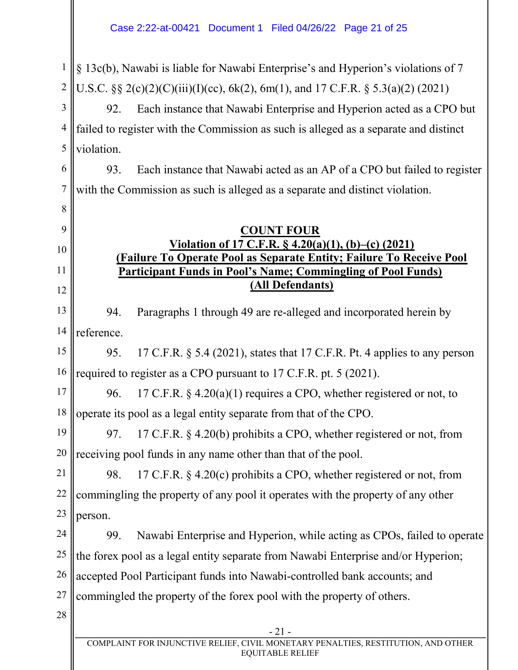1 2 § 13c(b), Nawabi is liable for Nawabi Enterprise's and Hyperion's violations of 7 U.S.C.  $\&$  2(c)(2)(C)(iii)(I)(cc), 6k(2), 6m(1), and 17 C.F.R.  $\&$  5.3(a)(2) (2021)

3 4 5 92. Each instance that Nawabi Enterprise and Hyperion acted as a CPO but failed to register with the Commission as such is alleged as a separate and distinct violation.

6 7 93. Each instance that Nawabi acted as an AP of a CPO but failed to register with the Commission as such is alleged as a separate and distinct violation.

**COUNT FOUR**

**Participant Funds in Pool's Name; Commingling of Pool Funds)**

**Violation of 17 C.F.R. § 4.20(a)(1), (b)–(c) (2021) (Failure To Operate Pool as Separate Entity; Failure To Receive Pool** 

**(All Defendants)**

# 9

8

## 10

11

### 12

13 14 94. Paragraphs 1 through 49 are re-alleged and incorporated herein by reference.

15 16 95. 17 C.F.R. § 5.4 (2021), states that 17 C.F.R. Pt. 4 applies to any person required to register as a CPO pursuant to 17 C.F.R. pt. 5 (2021).

17 18 96. 17 C.F.R.  $\S$  4.20(a)(1) requires a CPO, whether registered or not, to operate its pool as a legal entity separate from that of the CPO.

19 20 97. 17 C.F.R. § 4.20(b) prohibits a CPO, whether registered or not, from receiving pool funds in any name other than that of the pool.

21 22 23 98. 17 C.F.R. § 4.20(c) prohibits a CPO, whether registered or not, from commingling the property of any pool it operates with the property of any other person.

24 25 26 27 99. Nawabi Enterprise and Hyperion, while acting as CPOs, failed to operate the forex pool as a legal entity separate from Nawabi Enterprise and/or Hyperion; accepted Pool Participant funds into Nawabi-controlled bank accounts; and commingled the property of the forex pool with the property of others.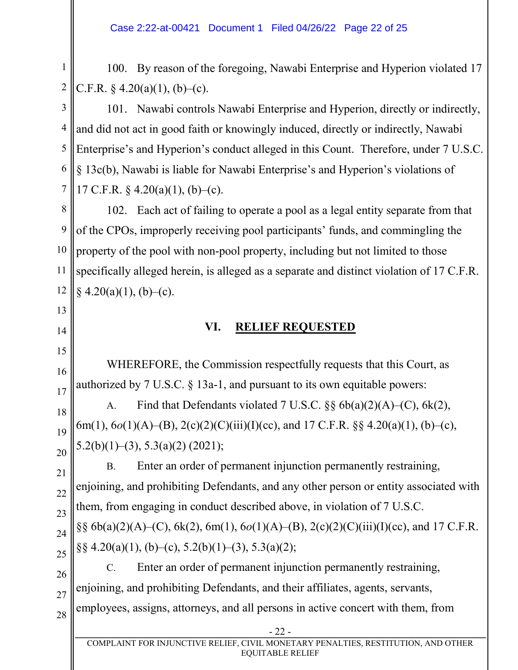1 2 100. By reason of the foregoing, Nawabi Enterprise and Hyperion violated 17 C.F.R.  $\& 4.20(a)(1)$ , (b)–(c).

3 4 5 6 7 101. Nawabi controls Nawabi Enterprise and Hyperion, directly or indirectly, and did not act in good faith or knowingly induced, directly or indirectly, Nawabi Enterprise's and Hyperion's conduct alleged in this Count. Therefore, under 7 U.S.C. § 13c(b), Nawabi is liable for Nawabi Enterprise's and Hyperion's violations of 17 C.F.R.  $\frac{6}{9}$  4.20(a)(1), (b)–(c).

8 9 10 11 12 102. Each act of failing to operate a pool as a legal entity separate from that of the CPOs, improperly receiving pool participants' funds, and commingling the property of the pool with non-pool property, including but not limited to those specifically alleged herein, is alleged as a separate and distinct violation of 17 C.F.R.  $§$  4.20(a)(1), (b)–(c).

## **VI. RELIEF REQUESTED**

WHEREFORE, the Commission respectfully requests that this Court, as authorized by  $7 \text{ U.S.C. }$  § 13a-1, and pursuant to its own equitable powers:

A. Find that Defendants violated  $7 \text{ U.S.C. }$  §§  $6b(a)(2)(A)$ – $(C)$ ,  $6k(2)$ , 6m(1), 6*o*(1)(A)–(B), 2(c)(2)(C)(iii)(I)(cc), and 17 C.F.R. §§ 4.20(a)(1), (b)–(c), 5.2(b)(1)–(3), 5.3(a)(2) (2021);

21 22 23 24 25 B. Enter an order of permanent injunction permanently restraining, enjoining, and prohibiting Defendants, and any other person or entity associated with them, from engaging in conduct described above, in violation of 7 U.S.C. §§ 6b(a)(2)(A)–(C), 6k(2), 6m(1), 6*o*(1)(A)–(B), 2(c)(2)(C)(iii)(I)(cc), and 17 C.F.R. §§ 4.20(a)(1), (b)–(c), 5.2(b)(1)–(3), 5.3(a)(2);

26 27 C. Enter an order of permanent injunction permanently restraining, enjoining, and prohibiting Defendants, and their affiliates, agents, servants, employees, assigns, attorneys, and all persons in active concert with them, from

28

13

14

15

16

17

18

19

20

- 22 -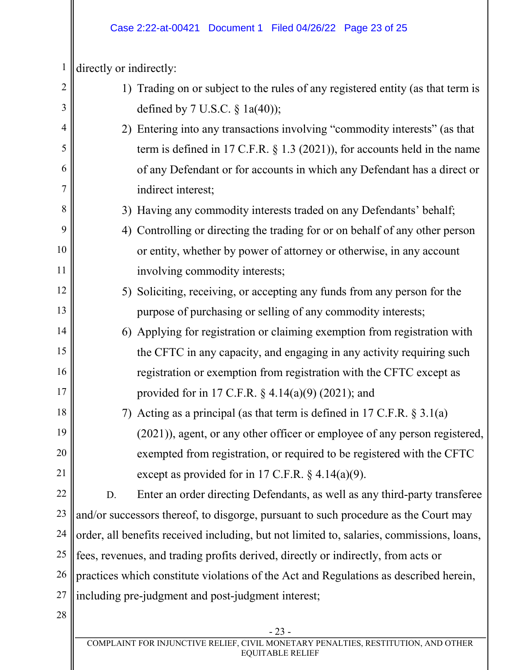#### Case 2:22-at-00421 Document 1 Filed 04/26/22 Page 23 of 25

1 directly or indirectly:

| $\overline{2}$ |                                                                                       | 1) Trading on or subject to the rules of any registered entity (as that term is           |
|----------------|---------------------------------------------------------------------------------------|-------------------------------------------------------------------------------------------|
| 3              |                                                                                       | defined by 7 U.S.C. $\S$ 1a(40));                                                         |
| 4              |                                                                                       | 2) Entering into any transactions involving "commodity interests" (as that                |
| 5              |                                                                                       | term is defined in 17 C.F.R. $\S$ 1.3 (2021)), for accounts held in the name              |
| 6              |                                                                                       | of any Defendant or for accounts in which any Defendant has a direct or                   |
| 7              |                                                                                       | indirect interest;                                                                        |
| 8              |                                                                                       | 3) Having any commodity interests traded on any Defendants' behalf;                       |
| 9              |                                                                                       | 4) Controlling or directing the trading for or on behalf of any other person              |
| 10             |                                                                                       | or entity, whether by power of attorney or otherwise, in any account                      |
| 11             |                                                                                       | involving commodity interests;                                                            |
| 12             |                                                                                       | 5) Soliciting, receiving, or accepting any funds from any person for the                  |
| 13             |                                                                                       | purpose of purchasing or selling of any commodity interests;                              |
| 14             |                                                                                       | 6) Applying for registration or claiming exemption from registration with                 |
| 15             |                                                                                       | the CFTC in any capacity, and engaging in any activity requiring such                     |
| 16             |                                                                                       | registration or exemption from registration with the CFTC except as                       |
| 17             |                                                                                       | provided for in 17 C.F.R. $\S$ 4.14(a)(9) (2021); and                                     |
| 18             |                                                                                       | 7) Acting as a principal (as that term is defined in 17 C.F.R. $\S 3.1(a)$                |
| 19             |                                                                                       | (2021)), agent, or any other officer or employee of any person registered,                |
| 20             |                                                                                       | exempted from registration, or required to be registered with the CFTC                    |
| 21             |                                                                                       | except as provided for in 17 C.F.R. $\S$ 4.14(a)(9).                                      |
| 22             | D.                                                                                    | Enter an order directing Defendants, as well as any third-party transferee                |
| 23             |                                                                                       | and/or successors thereof, to disgorge, pursuant to such procedure as the Court may       |
| 24             |                                                                                       | order, all benefits received including, but not limited to, salaries, commissions, loans, |
| 25             |                                                                                       | fees, revenues, and trading profits derived, directly or indirectly, from acts or         |
| 26             | practices which constitute violations of the Act and Regulations as described herein, |                                                                                           |
| 27             |                                                                                       | including pre-judgment and post-judgment interest;                                        |
| 28             |                                                                                       |                                                                                           |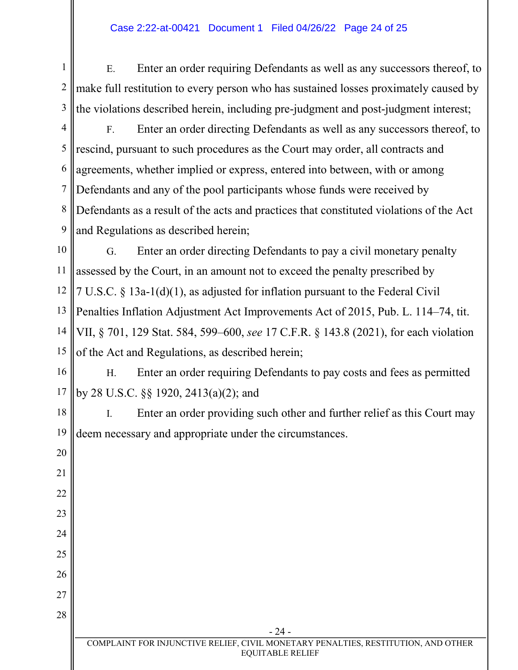#### Case 2:22-at-00421 Document 1 Filed 04/26/22 Page 24 of 25

1 2 3 E. Enter an order requiring Defendants as well as any successors thereof, to make full restitution to every person who has sustained losses proximately caused by the violations described herein, including pre-judgment and post-judgment interest;

20

21

22

23

24

25

4 5 6 7 8 9 F. Enter an order directing Defendants as well as any successors thereof, to rescind, pursuant to such procedures as the Court may order, all contracts and agreements, whether implied or express, entered into between, with or among Defendants and any of the pool participants whose funds were received by Defendants as a result of the acts and practices that constituted violations of the Act and Regulations as described herein;

10 11 12 13 14 15 G. Enter an order directing Defendants to pay a civil monetary penalty assessed by the Court, in an amount not to exceed the penalty prescribed by 7 U.S.C. § 13a-1(d)(1), as adjusted for inflation pursuant to the Federal Civil Penalties Inflation Adjustment Act Improvements Act of 2015, Pub. L. 114–74, tit. VII, § 701, 129 Stat. 584, 599–600, *see* 17 C.F.R. § 143.8 (2021), for each violation of the Act and Regulations, as described herein;

16 17 H. Enter an order requiring Defendants to pay costs and fees as permitted by 28 U.S.C. §§ 1920, 2413(a)(2); and

18 19 I. Enter an order providing such other and further relief as this Court may deem necessary and appropriate under the circumstances.